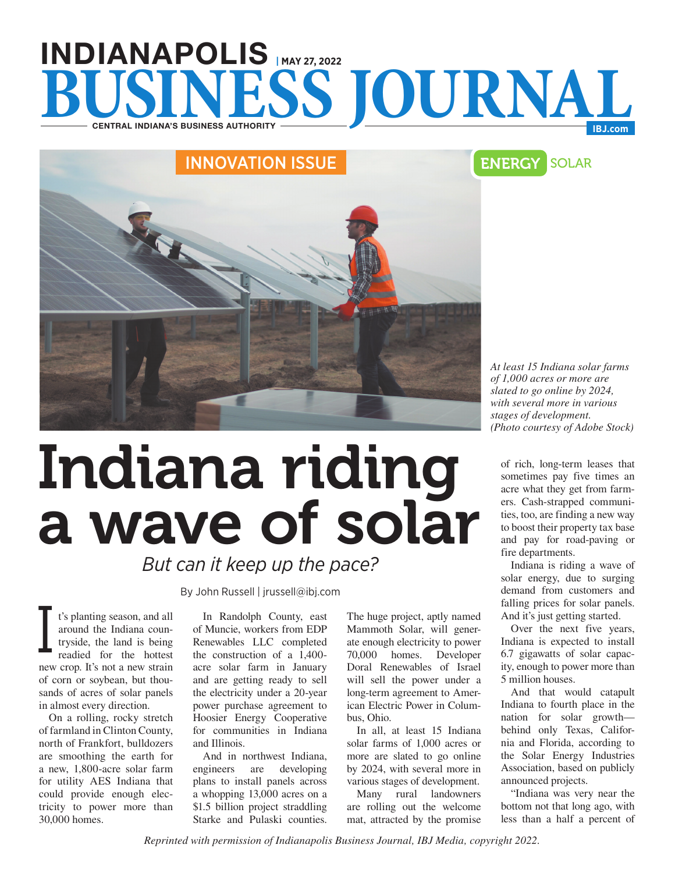# INDIANAPOLIS **| MAY 27, 2022 BUSINESS JOURNAL**

# INNOVATION ISSUE **ENERGY** SOLAR

*At least 15 Indiana solar farms of 1,000 acres or more are slated to go online by 2024, with several more in various stages of development. (Photo courtesy of Adobe Stock)*

of rich, long-term leases that sometimes pay five times an acre what they get from farmers. Cash-strapped communities, too, are finding a new way to boost their property tax base and pay for road-paving or fire departments.

Indiana is riding a wave of solar energy, due to surging demand from customers and falling prices for solar panels. And it's just getting started.

Over the next five years, Indiana is expected to install 6.7 gigawatts of solar capacity, enough to power more than 5 million houses.

And that would catapult Indiana to fourth place in the nation for solar growth behind only Texas, California and Florida, according to the Solar Energy Industries Association, based on publicly announced projects.

"Indiana was very near the bottom not that long ago, with less than a half a percent of

## *But can it keep up the pace?*

By John Russell | jrussell@ibj.com

t's planting season, and all around the Indiana countryside, the land is being readied for the hottest new crop. It's not a new strain of corn or soybean, but thousands of acres of solar panels in almost every direction. I

On a rolling, rocky stretch of farmland in Clinton County, north of Frankfort, bulldozers are smoothing the earth for a new, 1,800-acre solar farm for utility AES Indiana that could provide enough electricity to power more than 30,000 homes.

In Randolph County, east of Muncie, workers from EDP Renewables LLC completed the construction of a 1,400 acre solar farm in January and are getting ready to sell the electricity under a 20-year power purchase agreement to Hoosier Energy Cooperative for communities in Indiana and Illinois.

And in northwest Indiana, engineers are developing plans to install panels across a whopping 13,000 acres on a \$1.5 billion project straddling Starke and Pulaski counties.

The huge project, aptly named Mammoth Solar, will generate enough electricity to power 70,000 homes. Developer Doral Renewables of Israel will sell the power under a long-term agreement to American Electric Power in Columbus, Ohio.

In all, at least 15 Indiana solar farms of 1,000 acres or more are slated to go online by 2024, with several more in various stages of development.

Many rural landowners are rolling out the welcome mat, attracted by the promise

*Reprinted with permission of Indianapolis Business Journal, IBJ Media, copyright 2022.*

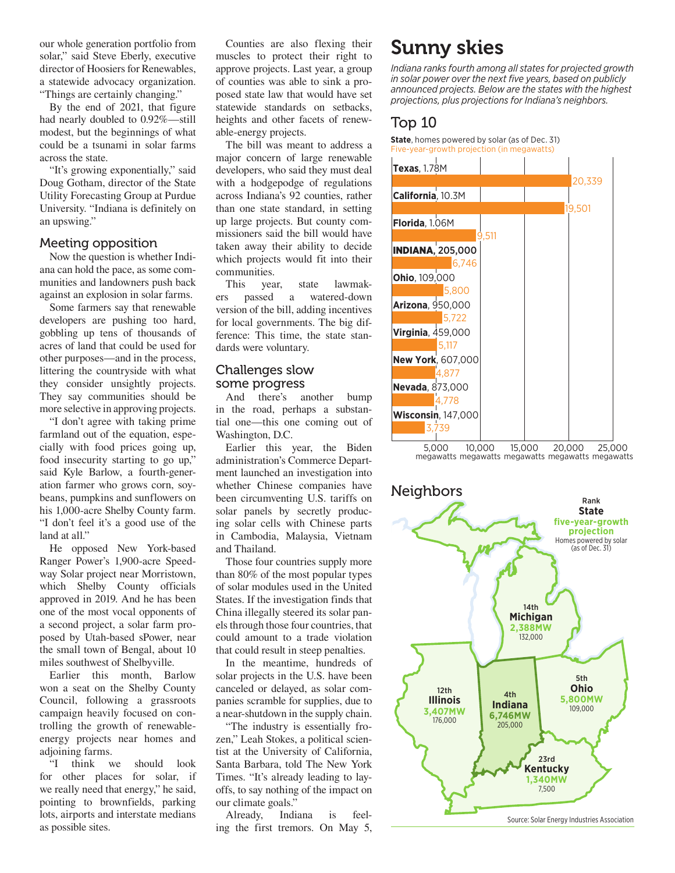our whole generation portfolio from solar," said Steve Eberly, executive director of Hoosiers for Renewables, a statewide advocacy organization. "Things are certainly changing."

By the end of 2021, that figure had nearly doubled to 0.92%—still modest, but the beginnings of what could be a tsunami in solar farms across the state.

"It's growing exponentially," said Doug Gotham, director of the State Utility Forecasting Group at Purdue University. "Indiana is definitely on an upswing."

#### Meeting opposition

Now the question is whether Indiana can hold the pace, as some communities and landowners push back against an explosion in solar farms.

Some farmers say that renewable developers are pushing too hard, gobbling up tens of thousands of acres of land that could be used for other purposes—and in the process, littering the countryside with what they consider unsightly projects. They say communities should be more selective in approving projects.

"I don't agree with taking prime farmland out of the equation, especially with food prices going up, food insecurity starting to go up," said Kyle Barlow, a fourth-generation farmer who grows corn, soybeans, pumpkins and sunflowers on his 1,000-acre Shelby County farm. "I don't feel it's a good use of the land at all."

He opposed New York-based Ranger Power's 1,900-acre Speedway Solar project near Morristown, which Shelby County officials approved in 2019. And he has been one of the most vocal opponents of a second project, a solar farm proposed by Utah-based sPower, near the small town of Bengal, about 10 miles southwest of Shelbyville.

Earlier this month, Barlow won a seat on the Shelby County Council, following a grassroots campaign heavily focused on controlling the growth of renewableenergy projects near homes and adjoining farms.

"I think we should look for other places for solar, if we really need that energy," he said, pointing to brownfields, parking lots, airports and interstate medians as possible sites.

Counties are also flexing their muscles to protect their right to approve projects. Last year, a group of counties was able to sink a proposed state law that would have set statewide standards on setbacks, heights and other facets of renewable-energy projects.

The bill was meant to address a major concern of large renewable developers, who said they must deal with a hodgepodge of regulations across Indiana's 92 counties, rather than one state standard, in setting up large projects. But county commissioners said the bill would have taken away their ability to decide which projects would fit into their communities.

This year, state lawmakers passed a watered-down version of the bill, adding incentives for local governments. The big difference: This time, the state standards were voluntary.

# Challenges slow

some progress<br>And there's another And there's another bump in the road, perhaps a substantial one—this one coming out of Washington, D.C.

Earlier this year, the Biden administration's Commerce Department launched an investigation into whether Chinese companies have been circumventing U.S. tariffs on solar panels by secretly producing solar cells with Chinese parts in Cambodia, Malaysia, Vietnam and Thailand.

Those four countries supply more than 80% of the most popular types of solar modules used in the United States. If the investigation finds that China illegally steered its solar panels through those four countries, that could amount to a trade violation that could result in steep penalties.

In the meantime, hundreds of solar projects in the U.S. have been canceled or delayed, as solar companies scramble for supplies, due to a near-shutdown in the supply chain.

"The industry is essentially frozen," Leah Stokes, a political scientist at the University of California, Santa Barbara, told The New York Times. "It's already leading to layoffs, to say nothing of the impact on our climate goals."

Already, Indiana is feeling the first tremors. On May 5,

### Sunny skies

*Indiana ranks fourth among all states for projected growth in solar power over the next five years, based on publicly announced projects. Below are the states with the highest projections, plus projections for Indiana's neighbors.*

#### Top 10

**State**, homes powered by solar (as of Dec. 31) Five-year-growth projection (in megawatts)



5,000 megawatts megawatts megawatts megawatts megawatts 10,000 15,000 20,000 25,000